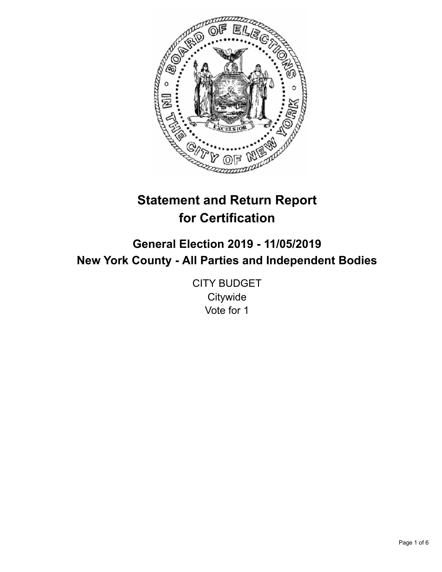

# **Statement and Return Report for Certification**

# **General Election 2019 - 11/05/2019 New York County - All Parties and Independent Bodies**

CITY BUDGET **Citywide** Vote for 1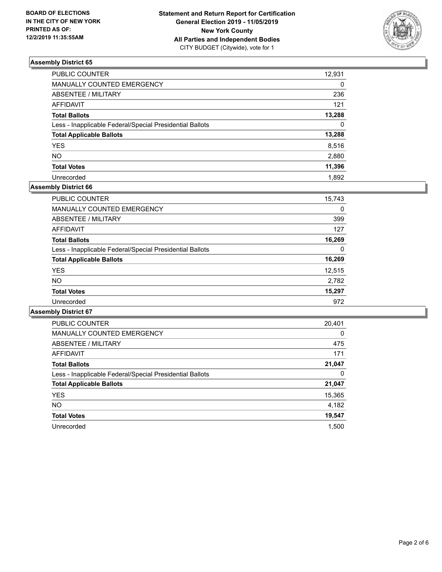

| PUBLIC COUNTER                                           | 12,931   |
|----------------------------------------------------------|----------|
| <b>MANUALLY COUNTED EMERGENCY</b>                        | $\Omega$ |
| ABSENTEE / MILITARY                                      | 236      |
| <b>AFFIDAVIT</b>                                         | 121      |
| <b>Total Ballots</b>                                     | 13,288   |
| Less - Inapplicable Federal/Special Presidential Ballots | $\Omega$ |
| <b>Total Applicable Ballots</b>                          | 13,288   |
| YES                                                      | 8,516    |
| <b>NO</b>                                                | 2,880    |
| <b>Total Votes</b>                                       | 11,396   |
| Unrecorded                                               | 1.892    |

# **Assembly District 66**

| <b>PUBLIC COUNTER</b>                                    | 15,743 |
|----------------------------------------------------------|--------|
| <b>MANUALLY COUNTED EMERGENCY</b>                        | 0      |
| ABSENTEE / MILITARY                                      | 399    |
| AFFIDAVIT                                                | 127    |
| <b>Total Ballots</b>                                     | 16,269 |
| Less - Inapplicable Federal/Special Presidential Ballots | 0      |
| <b>Total Applicable Ballots</b>                          | 16,269 |
| <b>YES</b>                                               | 12,515 |
| NO.                                                      | 2,782  |
| <b>Total Votes</b>                                       | 15,297 |
| Unrecorded                                               | 972    |

| <b>PUBLIC COUNTER</b>                                    | 20,401   |
|----------------------------------------------------------|----------|
| <b>MANUALLY COUNTED EMERGENCY</b>                        | $\Omega$ |
| ABSENTEE / MILITARY                                      | 475      |
| AFFIDAVIT                                                | 171      |
| <b>Total Ballots</b>                                     | 21,047   |
| Less - Inapplicable Federal/Special Presidential Ballots | 0        |
| <b>Total Applicable Ballots</b>                          | 21,047   |
| <b>YES</b>                                               | 15,365   |
| NO.                                                      | 4,182    |
| <b>Total Votes</b>                                       | 19,547   |
| Unrecorded                                               | 1.500    |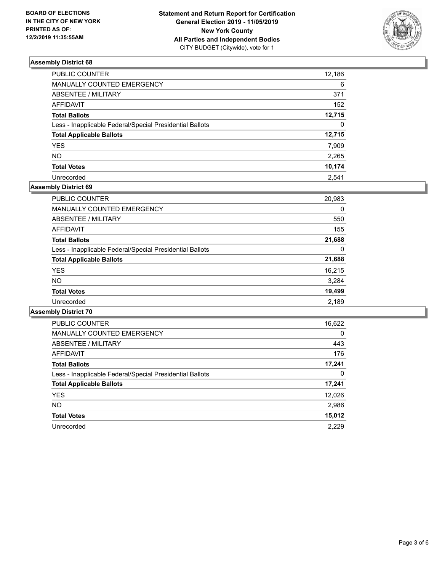

| <b>PUBLIC COUNTER</b>                                    | 12,186   |
|----------------------------------------------------------|----------|
| MANUALLY COUNTED EMERGENCY                               | 6        |
| <b>ABSENTEE / MILITARY</b>                               | 371      |
| <b>AFFIDAVIT</b>                                         | 152      |
| <b>Total Ballots</b>                                     | 12,715   |
| Less - Inapplicable Federal/Special Presidential Ballots | $\Omega$ |
| <b>Total Applicable Ballots</b>                          | 12,715   |
| <b>YES</b>                                               | 7,909    |
| <b>NO</b>                                                | 2,265    |
| <b>Total Votes</b>                                       | 10,174   |
| Unrecorded                                               | 2.541    |

## **Assembly District 69**

| <b>PUBLIC COUNTER</b>                                    | 20,983 |
|----------------------------------------------------------|--------|
| <b>MANUALLY COUNTED EMERGENCY</b>                        | 0      |
| ABSENTEE / MILITARY                                      | 550    |
| AFFIDAVIT                                                | 155    |
| <b>Total Ballots</b>                                     | 21,688 |
| Less - Inapplicable Federal/Special Presidential Ballots | 0      |
| <b>Total Applicable Ballots</b>                          | 21,688 |
| <b>YES</b>                                               | 16,215 |
| <b>NO</b>                                                | 3,284  |
| <b>Total Votes</b>                                       | 19,499 |
| Unrecorded                                               | 2,189  |

| <b>PUBLIC COUNTER</b>                                    | 16,622   |
|----------------------------------------------------------|----------|
| <b>MANUALLY COUNTED EMERGENCY</b>                        | $\Omega$ |
| ABSENTEE / MILITARY                                      | 443      |
| <b>AFFIDAVIT</b>                                         | 176      |
| <b>Total Ballots</b>                                     | 17,241   |
| Less - Inapplicable Federal/Special Presidential Ballots | 0        |
| <b>Total Applicable Ballots</b>                          | 17,241   |
| <b>YES</b>                                               | 12,026   |
| NO.                                                      | 2,986    |
| <b>Total Votes</b>                                       | 15,012   |
| Unrecorded                                               | 2.229    |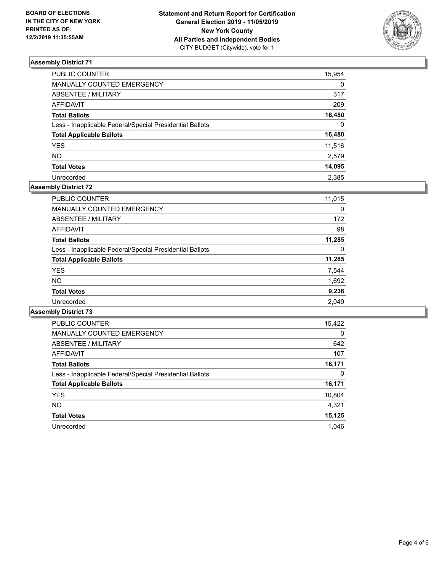

| PUBLIC COUNTER                                           | 15,954   |
|----------------------------------------------------------|----------|
| MANUALLY COUNTED EMERGENCY                               | $\Omega$ |
| ABSENTEE / MILITARY                                      | 317      |
| <b>AFFIDAVIT</b>                                         | 209      |
| <b>Total Ballots</b>                                     | 16,480   |
| Less - Inapplicable Federal/Special Presidential Ballots | $\Omega$ |
| <b>Total Applicable Ballots</b>                          | 16,480   |
| <b>YES</b>                                               | 11,516   |
| NΟ                                                       | 2,579    |
| <b>Total Votes</b>                                       | 14,095   |
| Unrecorded                                               | 2.385    |

# **Assembly District 72**

| <b>PUBLIC COUNTER</b>                                    | 11,015 |
|----------------------------------------------------------|--------|
| <b>MANUALLY COUNTED EMERGENCY</b>                        | 0      |
| ABSENTEE / MILITARY                                      | 172    |
| AFFIDAVIT                                                | 98     |
| <b>Total Ballots</b>                                     | 11,285 |
| Less - Inapplicable Federal/Special Presidential Ballots | 0      |
| <b>Total Applicable Ballots</b>                          | 11,285 |
| <b>YES</b>                                               | 7,544  |
| NO.                                                      | 1,692  |
| <b>Total Votes</b>                                       | 9,236  |
| Unrecorded                                               | 2.049  |

| <b>PUBLIC COUNTER</b>                                    | 15,422   |
|----------------------------------------------------------|----------|
| <b>MANUALLY COUNTED EMERGENCY</b>                        | $\Omega$ |
| ABSENTEE / MILITARY                                      | 642      |
| <b>AFFIDAVIT</b>                                         | 107      |
| <b>Total Ballots</b>                                     | 16,171   |
| Less - Inapplicable Federal/Special Presidential Ballots | 0        |
| <b>Total Applicable Ballots</b>                          | 16,171   |
| <b>YES</b>                                               | 10,804   |
| <b>NO</b>                                                | 4.321    |
| <b>Total Votes</b>                                       | 15,125   |
| Unrecorded                                               | 1.046    |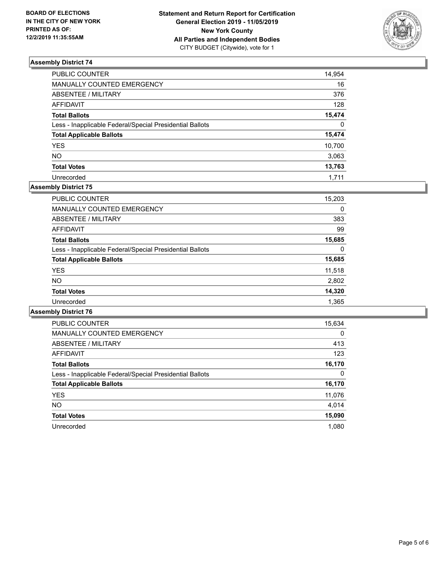

| PUBLIC COUNTER                                           | 14,954       |
|----------------------------------------------------------|--------------|
| MANUALLY COUNTED EMERGENCY                               | 16           |
| ABSENTEE / MILITARY                                      | 376          |
| <b>AFFIDAVIT</b>                                         | 128          |
| <b>Total Ballots</b>                                     | 15,474       |
| Less - Inapplicable Federal/Special Presidential Ballots | $\mathbf{0}$ |
| <b>Total Applicable Ballots</b>                          | 15,474       |
| <b>YES</b>                                               | 10,700       |
| <b>NO</b>                                                | 3,063        |
| <b>Total Votes</b>                                       | 13,763       |
| Unrecorded                                               | 1.711        |

# **Assembly District 75**

| <b>PUBLIC COUNTER</b>                                    | 15,203 |
|----------------------------------------------------------|--------|
| <b>MANUALLY COUNTED EMERGENCY</b>                        | 0      |
| ABSENTEE / MILITARY                                      | 383    |
| AFFIDAVIT                                                | 99     |
| <b>Total Ballots</b>                                     | 15,685 |
| Less - Inapplicable Federal/Special Presidential Ballots | 0      |
| <b>Total Applicable Ballots</b>                          | 15,685 |
| <b>YES</b>                                               | 11,518 |
| <b>NO</b>                                                | 2,802  |
| <b>Total Votes</b>                                       | 14,320 |
| Unrecorded                                               | 1,365  |
|                                                          |        |

| <b>PUBLIC COUNTER</b>                                    | 15,634   |
|----------------------------------------------------------|----------|
| <b>MANUALLY COUNTED EMERGENCY</b>                        | $\Omega$ |
| ABSENTEE / MILITARY                                      | 413      |
| <b>AFFIDAVIT</b>                                         | 123      |
| <b>Total Ballots</b>                                     | 16,170   |
| Less - Inapplicable Federal/Special Presidential Ballots | 0        |
| <b>Total Applicable Ballots</b>                          | 16,170   |
| <b>YES</b>                                               | 11,076   |
| <b>NO</b>                                                | 4.014    |
| <b>Total Votes</b>                                       | 15,090   |
| Unrecorded                                               | 1.080    |